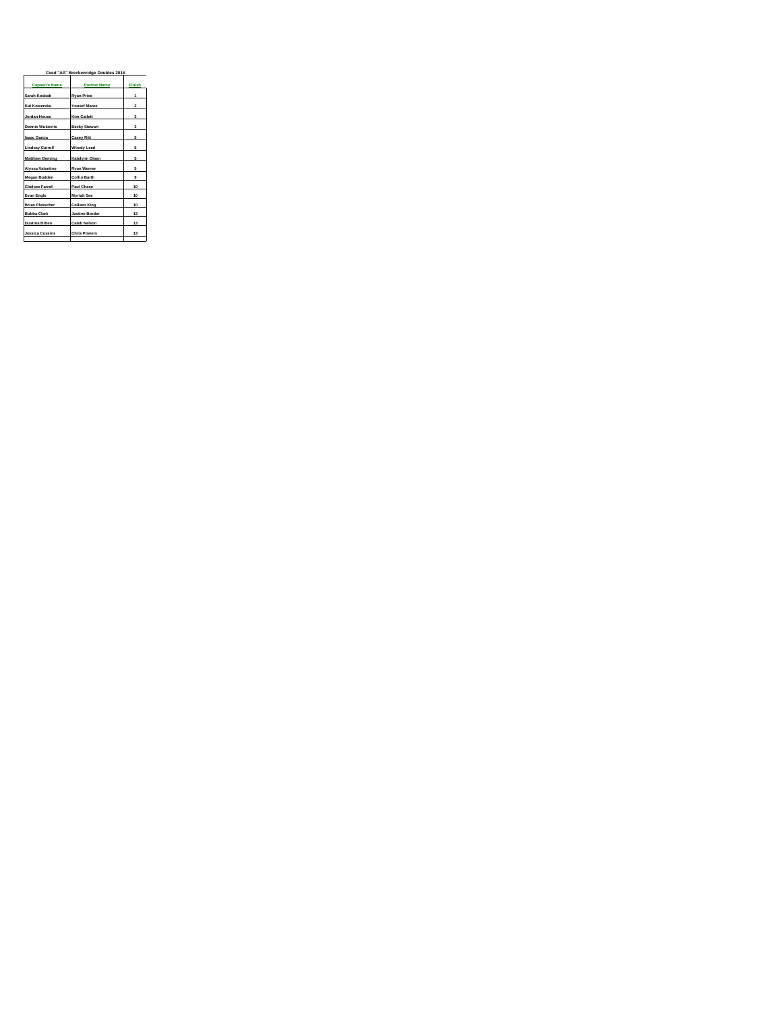| Coed "AA" Breckenridge Doubles 2016 |                       |              |  |  |
|-------------------------------------|-----------------------|--------------|--|--|
| <b>Captain's Name</b>               | <b>Partner Name</b>   | Finish       |  |  |
| Sarah Kosbab                        | <b>Ryan Price</b>     | 1            |  |  |
| Kat Kowerska                        | <b>Yousef Maree</b>   | $\mathbf{z}$ |  |  |
| Jordan House                        | Kim Catlett           | ă            |  |  |
| <b>Dennis Wukovits</b>              | <b>Becky Stewart</b>  | $\mathbf{a}$ |  |  |
| <b>Isaac Garcia</b>                 | <b>Casey Ritt</b>     | 5            |  |  |
| <b>Lindsay Carroll</b>              | Woody Leed            | 5            |  |  |
| <b>Matthew Deming</b>               | Katelynn Olsen        | 5            |  |  |
| Alvssa Valentine                    | <b>Rvan Werner</b>    | 5            |  |  |
| Megan Budden                        | <b>Collin Barth</b>   | 9            |  |  |
| <b>Chelsee Farrell</b>              | Paul Chase            | 10           |  |  |
| Evan Engle                          | Myriah See            | 10           |  |  |
| <b>Brian Plesscher</b>              | <b>Colleen King</b>   | 10           |  |  |
| <b>Bubba Clark</b>                  | <b>Justine Border</b> | 13           |  |  |
| <b>Dustina Bitten</b>               | <b>Caleb Nelson</b>   | 13           |  |  |
| <b>Jessica Cussins</b>              | <b>Chris Powers</b>   | 13           |  |  |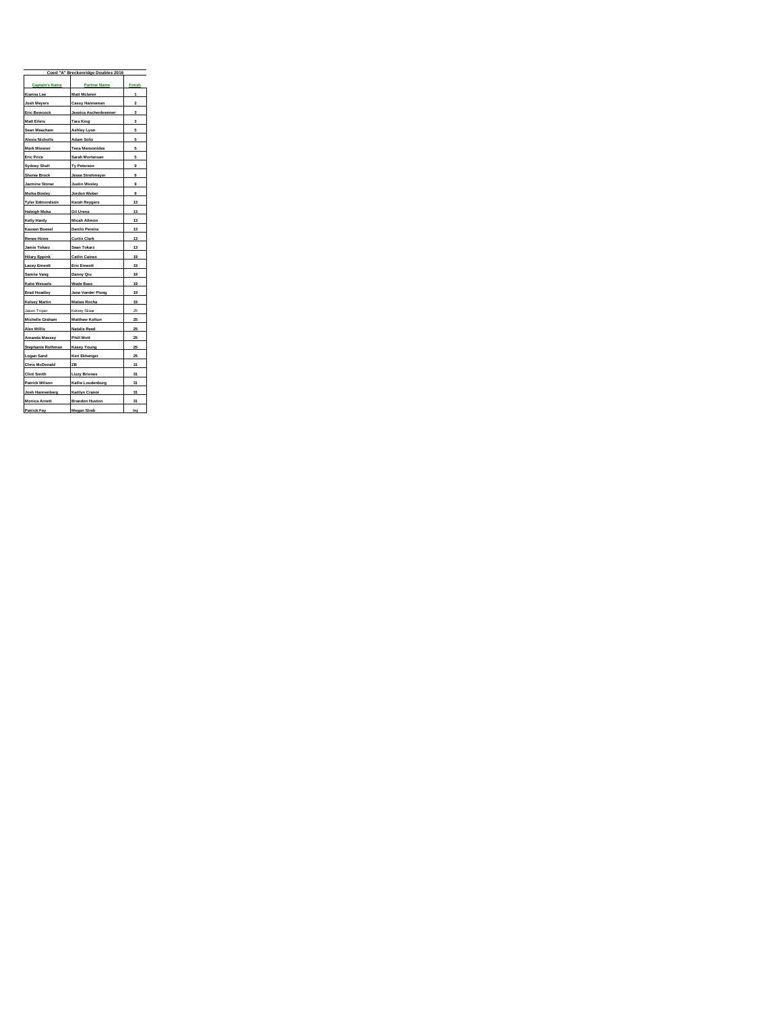|                        | Coed "A" Breckenridge Doubles 2016 |                         |  |  |  |
|------------------------|------------------------------------|-------------------------|--|--|--|
| <b>Captain's Name</b>  | <b>Partner Name</b>                | Finish                  |  |  |  |
| Kianna Lee             | Matt Mclaren                       | 1                       |  |  |  |
| Josh Meyers            | <b>Cassy Hanneman</b>              | $\overline{\mathbf{c}}$ |  |  |  |
| <b>Eric Bowcock</b>    | Jessica Aschenbrenner              | 3                       |  |  |  |
| <b>Matt Eilers</b>     | <b>Tara King</b>                   | 3                       |  |  |  |
| Sean Meacham           | <b>Ashley Lyon</b>                 | 5                       |  |  |  |
| <b>Alexis Nicholls</b> | <b>Adam Soliz</b>                  | 5                       |  |  |  |
| Mark Miesner           | <b>Tena Mensonides</b>             | 5                       |  |  |  |
| <b>Eric Price</b>      | Sarah Mortensen                    | 5                       |  |  |  |
| <b>Sydney Shell</b>    | Ty Peterson                        | 9                       |  |  |  |
| <b>Sheree Brock</b>    | <b>Jesse Strohmeyer</b>            | 9                       |  |  |  |
| Jazmine Stoner         | <b>Justin Wesley</b>               | 9                       |  |  |  |
| <b>Meika Bosley</b>    | Jordon Weber                       | 9                       |  |  |  |
| <b>Tyler Edmondson</b> | Karah Reygers                      | 13                      |  |  |  |
| Haleigh Muka           | <b>Gil Urena</b>                   | 13                      |  |  |  |
| <b>Kelly Hardy</b>     | <b>Micah Allmon</b>                | 13                      |  |  |  |
| Kassen Boesel          | Danilo Pereira                     | 13                      |  |  |  |
| <b>Renee Howe</b>      | <b>Curtis Clark</b>                | 13                      |  |  |  |
| Jamie Tokarz           | Sean Tokarz                        | 13                      |  |  |  |
| <b>Hilary Eppink</b>   | <b>Catlin Caines</b>               | 19                      |  |  |  |
| <b>Lacey Emeott</b>    | <b>Eric Emeott</b>                 | 19                      |  |  |  |
| Samiie Vang            | Danny Qiu                          | 19                      |  |  |  |
| <b>Katie Wessels</b>   | <b>Wade Bass</b>                   | 19                      |  |  |  |
| <b>Brad Hoadley</b>    | Jane Vander Ploeg                  | 19                      |  |  |  |
| Kelsey Martin          | Matias Rocha                       | 19                      |  |  |  |
| Jason Trojan           | Kelsey Skaar                       | 25                      |  |  |  |
| Michelle Graham        | <b>Matthew Koltun</b>              | 25                      |  |  |  |
| Alex Willis            | <b>Natalie Reed</b>                | 25                      |  |  |  |
| Amanda Massey          | <b>Phill Mott</b>                  | 25                      |  |  |  |
| Stephanie Rothman      | <b>Kasey Young</b>                 | 25                      |  |  |  |
| Logan Sand             | Keri Ekhenger                      | 25                      |  |  |  |
| Chris McDonald         | ZB                                 | 31                      |  |  |  |
| <b>Clint Smith</b>     | <b>Lizzy Briones</b>               | 31                      |  |  |  |
| Patrick Wilson         | Kallie Loudenburg                  | 31                      |  |  |  |
| Josh Hannenberg        | Kaitlyn Cranor                     | 31                      |  |  |  |
| <b>Monica Arnett</b>   | <b>Brandon Huston</b>              | 31                      |  |  |  |
| Patrick Fay            | <b>Megan Streb</b>                 | Inj                     |  |  |  |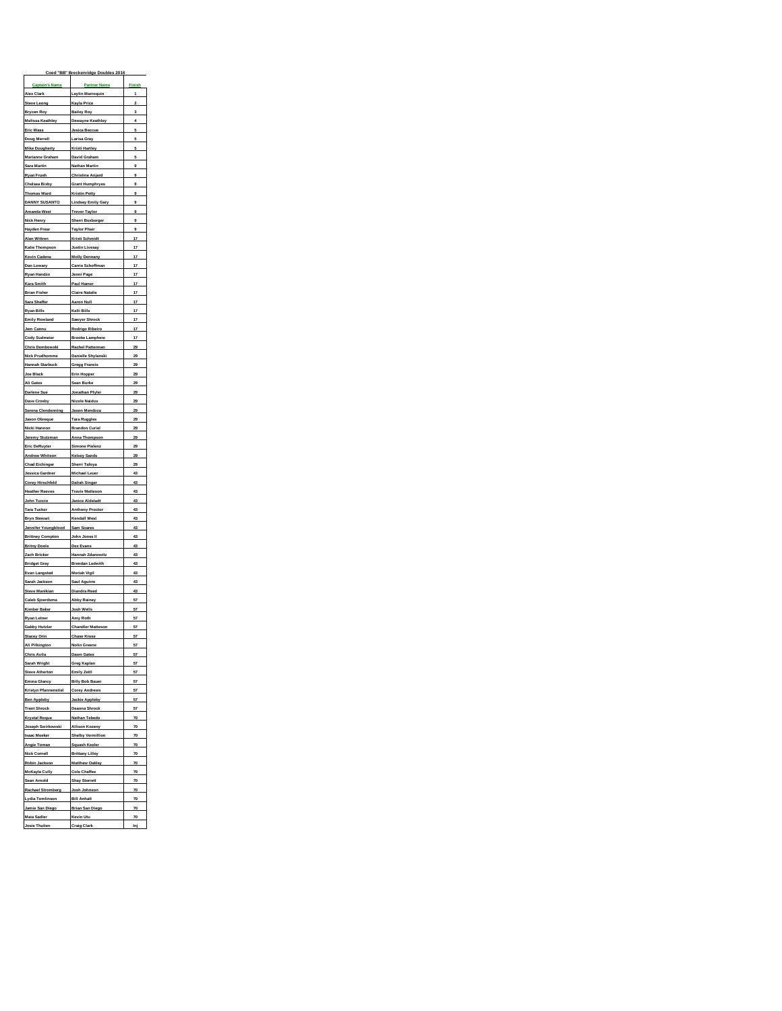|                                                 | Coed "BB" Breckenridge Doubles 2016            |                   |
|-------------------------------------------------|------------------------------------------------|-------------------|
| <b>Captain's Name</b>                           | <b>Partner Name</b>                            | Finish            |
| Alex Clark                                      | Leylin Marroquin                               | 1                 |
| <b>Steve Leong</b>                              | Kayla Price                                    | $\overline{2}$    |
| Brycen Roy<br><b>Melissa Keathley</b>           | <b>Bailey Roy</b><br>Dewayne Keathley          | $\mathbf{3}$<br>4 |
| Eric Wass                                       | <b>Jesica Beccue</b>                           | 5                 |
| Doug Merrell                                    | Larisa Gray                                    | 5                 |
| <b>Mike Dougherty</b>                           | <b>Kristi Hartley</b>                          | 5                 |
| Marianne Graham                                 | David Graham                                   | 5                 |
| Sara Martin                                     | Nathan Martin                                  | 9                 |
| Ryan Frueh<br>Chelsea Bixby                     | <b>Christine Anjard</b>                        | 9<br>9            |
| Thomas Ward                                     | <b>Grant Humphryes</b><br><b>Kristin Petty</b> | 9                 |
| <b>DANNY SUSANTO</b>                            | <b>Lindsey Emily Gary</b>                      | 9                 |
| <b>Amanda West</b>                              | <b>Trevor Taylor</b>                           | 9                 |
| <b>Nick Henry</b>                               | Sherri Boxberger                               | 9                 |
| Hayden Frear                                    | <b>Taylor Phair</b>                            | 9                 |
| Alan Wittren                                    | Kristi Schmidt                                 | 17 <sub>1</sub>   |
| <b>Katie Thompson</b>                           | <b>Justin Livesay</b>                          | 17                |
| Kevin Cadena                                    | <b>Molly Dennany</b>                           | 17                |
| Dan Lowary                                      | Carrie Schoffman                               | 17<br>17          |
| Ryan Handzo<br>Kara Smith                       | Jenni Page<br>Paul Hamer                       | 17                |
| Brian Fisher                                    | <b>Claire Natalie</b>                          | 17                |
| Sara Shaffer                                    | <b>Aaron Null</b>                              | 17                |
| Ryan Bills                                      | Kelli Bills                                    | 17                |
| <b>Emily Rowland</b>                            | Sawyer Shrock                                  | 17                |
| Jem Cannu                                       | Rodrigo Ribeiro                                | 17                |
| Cody Sudmeier                                   | <b>Brooke Lamphere</b>                         | 17                |
| Chris Dembowski                                 | Rachel Patterman                               | 29                |
| <b>Nick Prudhomme</b>                           | Danielle Shylanski                             | 29                |
| Hannah Starbuck                                 | <b>Gregg Francis</b><br>Erin Hopper            | 29<br>29          |
| Joe Black<br>Ali Gates                          | Sean Burke                                     | 29                |
| Darlene Sue                                     | Jonathan Plyler                                | $29 -$            |
| Dave Crosby                                     | <b>Nicole Naidus</b>                           | 29                |
| <b>Serena Clendenning</b>                       | Jason Mendoza                                  | 29                |
| <b>Jason Obreque</b>                            | <b>Tara Ruggles</b>                            | 29                |
| Nicki Hannon                                    | <b>Brandon Curiel</b>                          | 29                |
| Jeremy Stutzman                                 | <b>Anna Thompson</b>                           | 29                |
| <b>Eric DeRuyter</b>                            | <b>Simone Pielenz</b>                          | 29                |
| <b>Andrew Whitson</b>                           | <b>Kelsey Sands</b>                            | 29<br>29          |
| <b>Chad Eichinger</b><br><b>Jessica Gardner</b> | Sherri Tafoya<br><b>Michael Leuer</b>          | 43                |
| <b>Corey Hirschfeld</b>                         | <b>Daliah Singer</b>                           | 43                |
| <b>Heather Reeves</b>                           | <b>Travis Matteson</b>                         | 43                |
| John Tuccio                                     | <b>Janice Aldstadt</b>                         | 43                |
| <b>Tara Tucker</b>                              | <b>Anthony Proctor</b>                         | 43                |
| <b>Bryn Stewart</b>                             | Kendall West                                   | 43                |
| Jennifer Youngblood                             | Sam Soares                                     | 43                |
| <b>Brittney Compton</b>                         | John Jones II                                  | 43                |
| <b>Britny Doole</b>                             | Dex Evans                                      | 43                |
| Zach Bricker<br><b>Bridget Gray</b>             | Hannah Zdanowitz<br><b>Brendan Ledwith</b>     | 43<br>43          |
| Evan Langsted                                   | <b>Meriah Vigil</b>                            | 43                |
| Sarah Jackson                                   | Saul Aguirre                                   | 43                |
| Steve Manikian                                  | Diandra Reed                                   | 43                |
| Caleb Sjoerdsma                                 | <b>Abby Rainey</b>                             | 57                |
| Kimber Baker                                    | Josh Wells                                     | 57                |
| <b>Rvan Letner</b>                              | Amy Roth                                       | 57                |
| <b>Gabby Hutzler</b>                            | <b>Chandler Matteson</b>                       | 57                |
| <b>Stacey Orin</b>                              | <b>Chase Kruse</b>                             | 57                |
| Ali Pilkington                                  | <b>Nolin Greene</b>                            | 57                |
| <b>Chris Avila</b><br>Sarah Wright              | Dawn Gates<br>Greg Kaplan                      | 57<br>57          |
| Steve Atherton                                  | <b>Emily Zettl</b>                             | $57-$             |
| Emma Glancy                                     | <b>Billy Bob Bauer</b>                         | 57                |
| <b>Kristyn Pfannenstiel</b>                     | <b>Corey Andrews</b>                           | 57                |
| <b>Ben Appleby</b>                              | <b>Jackie Appleby</b>                          | 57 <sub>2</sub>   |
| <b>Trent Shrock</b>                             | Deanna Shrock                                  | 57                |
| Krystal Roque                                   | Nathan Tebedo                                  | 70                |
| Joseph Swirkowski                               | <b>Allison Kozeny</b>                          | 70                |
| <b>Isaac Meeker</b>                             | <b>Shelby Vermillion</b>                       | $\frac{70}{2}$    |
| Angie Toman<br>Nick Cornell                     | Squash Keeler<br><b>Brittany Lilley</b>        | 70                |
| Robin Jackson                                   | <b>Matthew Oakley</b>                          | 70<br>70          |
| McKayla Cully                                   | <b>Cole Chaffee</b>                            | 70                |
| Sean Arnold                                     | <b>Shay Sterrett</b>                           | 70                |
| <b>Rachael Stromberg</b>                        | Josh Johnson                                   | 70                |
| Lydia Tomlinson                                 | <b>Bill Anhalt</b>                             | 70                |
| Jamie San Diego                                 | <b>Brian San Diego</b>                         | 70                |
| Maia Sadler                                     | Kevin Utu                                      | $70 -$            |
|                                                 |                                                |                   |